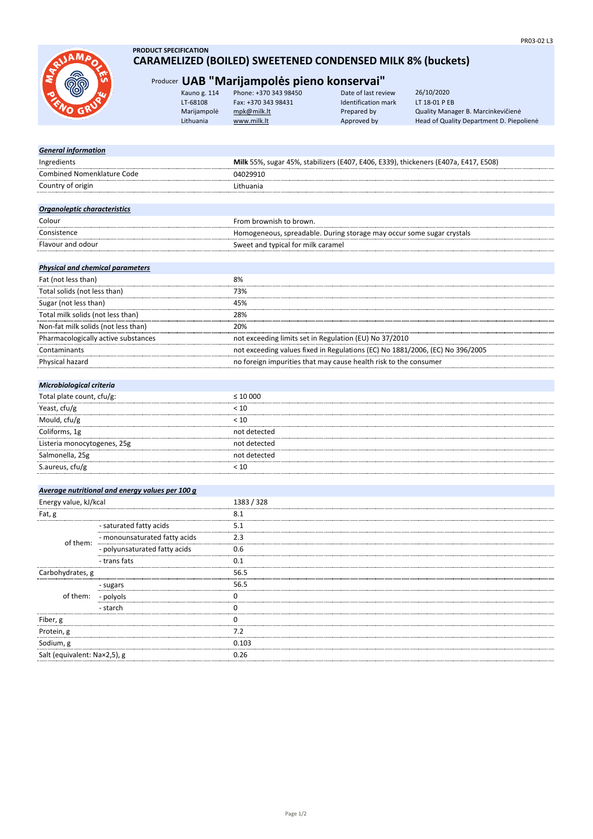

# **PRODUCT SPECIFICATION CARAMELIZED (BOILED) SWEETENED CONDENSED MILK 8% (buckets)**

# Producer **UAB "Marijampolės pieno konservai"**

| Kauno g. 114 | Phone: +370 343 98450 | Date of last review | 26/10/2020                               |
|--------------|-----------------------|---------------------|------------------------------------------|
| LT-68108     | Fax: +370 343 98431   | Identification mark | LT 18-01 P EB                            |
| Marijampolė  | mpk@milk.lt           | Prepared by         | Quality Manager B. Marcinkevičienė       |
| Lithuania    | www.milk.lt           | Approved by         | Head of Quality Department D. Piepoliene |
|              |                       |                     |                                          |

| <b>General information</b>              |                                                                                     |
|-----------------------------------------|-------------------------------------------------------------------------------------|
| Ingredients                             | Milk 55%, sugar 45%, stabilizers (E407, E406, E339), thickeners (E407a, E417, E508) |
| <b>Combined Nomenklature Code</b>       | 04029910                                                                            |
| Country of origin                       | Lithuania                                                                           |
|                                         |                                                                                     |
| Organoleptic characteristics            |                                                                                     |
| Colour                                  | From brownish to brown.                                                             |
| Consistence                             | Homogeneous, spreadable. During storage may occur some sugar crystals               |
| Flavour and odour                       | Sweet and typical for milk caramel                                                  |
|                                         |                                                                                     |
| <b>Physical and chemical parameters</b> |                                                                                     |
| Fat (not less than)                     | 8%                                                                                  |
| Total solids (not less than)            | 73%                                                                                 |
| Sugar (not less than)                   | 45%                                                                                 |
| Total milk solids (not less than)       | 28%                                                                                 |
| Non-fat milk solids (not less than)     | 20%                                                                                 |
| Pharmacologically active substances     | not exceeding limits set in Regulation (EU) No 37/2010                              |
| Contaminants                            | not exceeding values fixed in Regulations (EC) No 1881/2006, (EC) No 396/2005       |
| Physical hazard                         | no foreign impurities that may cause health risk to the consumer                    |
|                                         |                                                                                     |
| Microbiological criteria                |                                                                                     |
| Total plate count, cfu/g:               | $\leq 10000$                                                                        |
| Yeast, cfu/g                            | < 10                                                                                |
| Mould, cfu/g                            | < 10                                                                                |

| .                           |              |
|-----------------------------|--------------|
| Coliforms, 1g               | not detected |
| Listeria monocytogenes, 25g | not detected |
| Salmonella, 25g             | not detected |
| S.aureus, cfu/g             |              |

## *Average nutritional and energy values per 100 g*

| Energy value, kJ/kcal              |                               | 1383 / 328 |
|------------------------------------|-------------------------------|------------|
| Fat, g<br>------------------------ |                               | 8.1        |
| of them:                           | - saturated fatty acids       | 5.1        |
|                                    | - monounsaturated fatty acids | 2.3        |
|                                    | - polyunsaturated fatty acids | 0.6        |
|                                    | - trans fats                  | ດ 1        |
| Carbohydrates, g                   |                               | 56.5       |
| of them:                           | - sugars                      | 56.5       |
|                                    | - polyols                     |            |
|                                    | - starch                      |            |
| Fiber, g                           |                               |            |
| Protein, g                         |                               | 7.2        |
| Sodium, g                          |                               | 0.103      |
| Salt (equivalent: Na×2,5), g       |                               | 0.26       |